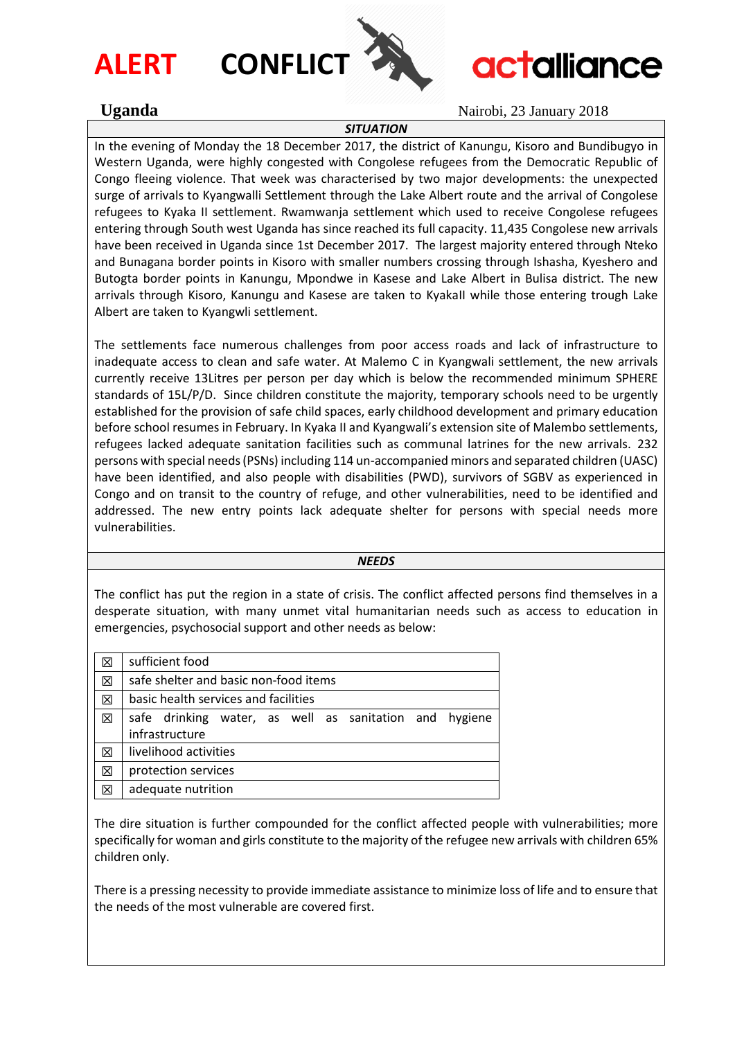



# **actalliance**

### **Uganda** Nairobi, 23 January 2018

*SITUATION*

In the evening of Monday the 18 December 2017, the district of Kanungu, Kisoro and Bundibugyo in Western Uganda, were highly congested with Congolese refugees from the Democratic Republic of Congo fleeing violence. That week was characterised by two major developments: the unexpected surge of arrivals to Kyangwalli Settlement through the Lake Albert route and the arrival of Congolese refugees to Kyaka II settlement. Rwamwanja settlement which used to receive Congolese refugees entering through South west Uganda has since reached its full capacity. 11,435 Congolese new arrivals have been received in Uganda since 1st December 2017. The largest majority entered through Nteko and Bunagana border points in Kisoro with smaller numbers crossing through Ishasha, Kyeshero and Butogta border points in Kanungu, Mpondwe in Kasese and Lake Albert in Bulisa district. The new arrivals through Kisoro, Kanungu and Kasese are taken to KyakaII while those entering trough Lake Albert are taken to Kyangwli settlement.

The settlements face numerous challenges from poor access roads and lack of infrastructure to inadequate access to clean and safe water. At Malemo C in Kyangwali settlement, the new arrivals currently receive 13Litres per person per day which is below the recommended minimum SPHERE standards of 15L/P/D. Since children constitute the majority, temporary schools need to be urgently established for the provision of safe child spaces, early childhood development and primary education before school resumes in February. In Kyaka II and Kyangwali's extension site of Malembo settlements, refugees lacked adequate sanitation facilities such as communal latrines for the new arrivals. 232 persons with special needs (PSNs) including 114 un-accompanied minors and separated children (UASC) have been identified, and also people with disabilities (PWD), survivors of SGBV as experienced in Congo and on transit to the country of refuge, and other vulnerabilities, need to be identified and addressed. The new entry points lack adequate shelter for persons with special needs more vulnerabilities.

#### *NEEDS*

The conflict has put the region in a state of crisis. The conflict affected persons find themselves in a desperate situation, with many unmet vital humanitarian needs such as access to education in emergencies, psychosocial support and other needs as below:

| 冈 | sufficient food                                        |  |  |  |
|---|--------------------------------------------------------|--|--|--|
| ⊠ | safe shelter and basic non-food items                  |  |  |  |
| ⊠ | basic health services and facilities                   |  |  |  |
| 区 | safe drinking water, as well as sanitation and hygiene |  |  |  |
|   | infrastructure                                         |  |  |  |
| ⊠ | livelihood activities                                  |  |  |  |
| 図 | protection services                                    |  |  |  |
| 冈 | adequate nutrition                                     |  |  |  |

The dire situation is further compounded for the conflict affected people with vulnerabilities; more specifically for woman and girls constitute to the majority of the refugee new arrivals with children 65% children only.

There is a pressing necessity to provide immediate assistance to minimize loss of life and to ensure that the needs of the most vulnerable are covered first.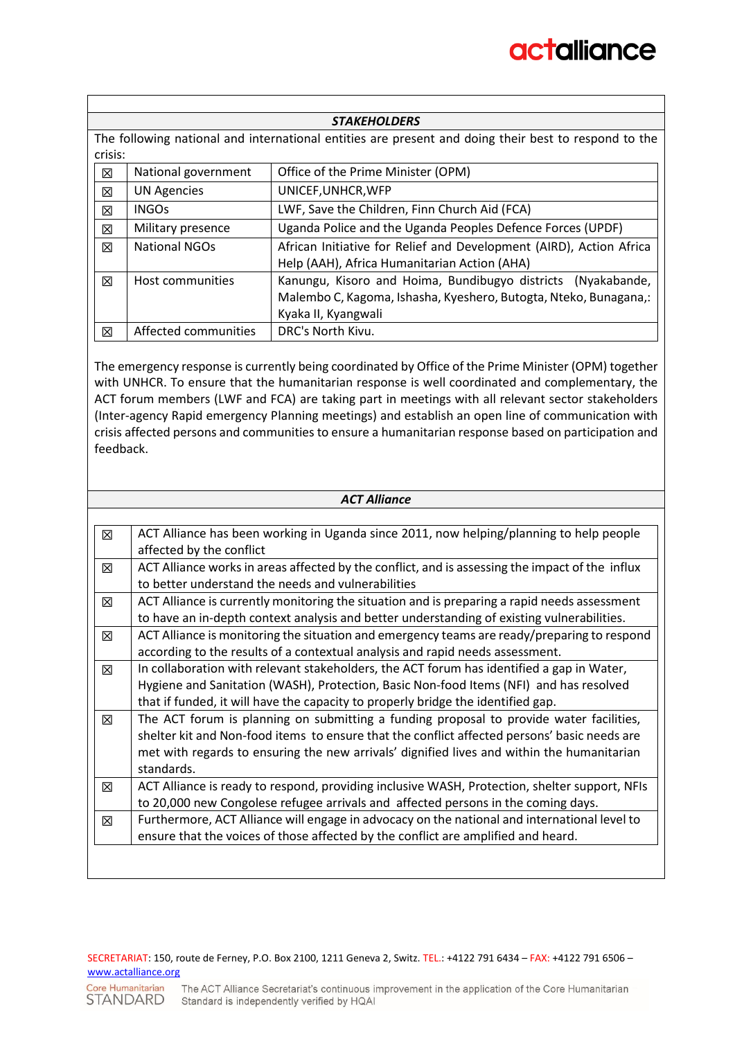|                                                                                                      | <b>STAKEHOLDERS</b>  |                                                                     |  |  |  |
|------------------------------------------------------------------------------------------------------|----------------------|---------------------------------------------------------------------|--|--|--|
| The following national and international entities are present and doing their best to respond to the |                      |                                                                     |  |  |  |
| crisis:                                                                                              |                      |                                                                     |  |  |  |
| 区                                                                                                    | National government  | Office of the Prime Minister (OPM)                                  |  |  |  |
| 区                                                                                                    | <b>UN Agencies</b>   | UNICEF, UNHCR, WFP                                                  |  |  |  |
| 区                                                                                                    | <b>INGOs</b>         | LWF, Save the Children, Finn Church Aid (FCA)                       |  |  |  |
| 冈                                                                                                    | Military presence    | Uganda Police and the Uganda Peoples Defence Forces (UPDF)          |  |  |  |
| 区                                                                                                    | <b>National NGOs</b> | African Initiative for Relief and Development (AIRD), Action Africa |  |  |  |
|                                                                                                      |                      | Help (AAH), Africa Humanitarian Action (AHA)                        |  |  |  |
| 冈                                                                                                    | Host communities     | Kanungu, Kisoro and Hoima, Bundibugyo districts<br>(Nyakabande,     |  |  |  |
|                                                                                                      |                      | Malembo C, Kagoma, Ishasha, Kyeshero, Butogta, Nteko, Bunagana,:    |  |  |  |
|                                                                                                      |                      | Kyaka II, Kyangwali                                                 |  |  |  |
| 冈                                                                                                    | Affected communities | DRC's North Kivu.                                                   |  |  |  |

The emergency response is currently being coordinated by Office of the Prime Minister (OPM) together with UNHCR. To ensure that the humanitarian response is well coordinated and complementary, the ACT forum members (LWF and FCA) are taking part in meetings with all relevant sector stakeholders (Inter-agency Rapid emergency Planning meetings) and establish an open line of communication with crisis affected persons and communities to ensure a humanitarian response based on participation and feedback.

#### *ACT Alliance*

| 区 | ACT Alliance has been working in Uganda since 2011, now helping/planning to help people         |
|---|-------------------------------------------------------------------------------------------------|
|   | affected by the conflict                                                                        |
| 冈 | ACT Alliance works in areas affected by the conflict, and is assessing the impact of the influx |
|   | to better understand the needs and vulnerabilities                                              |
| 冈 | ACT Alliance is currently monitoring the situation and is preparing a rapid needs assessment    |
|   | to have an in-depth context analysis and better understanding of existing vulnerabilities.      |
| ⊠ | ACT Alliance is monitoring the situation and emergency teams are ready/preparing to respond     |
|   | according to the results of a contextual analysis and rapid needs assessment.                   |
| 冈 | In collaboration with relevant stakeholders, the ACT forum has identified a gap in Water,       |
|   | Hygiene and Sanitation (WASH), Protection, Basic Non-food Items (NFI) and has resolved          |
|   | that if funded, it will have the capacity to properly bridge the identified gap.                |
| 冈 | The ACT forum is planning on submitting a funding proposal to provide water facilities,         |
|   | shelter kit and Non-food items to ensure that the conflict affected persons' basic needs are    |
|   | met with regards to ensuring the new arrivals' dignified lives and within the humanitarian      |
|   | standards.                                                                                      |
| 冈 | ACT Alliance is ready to respond, providing inclusive WASH, Protection, shelter support, NFIs   |
|   | to 20,000 new Congolese refugee arrivals and affected persons in the coming days.               |
| 冈 | Furthermore, ACT Alliance will engage in advocacy on the national and international level to    |
|   | ensure that the voices of those affected by the conflict are amplified and heard.               |
|   |                                                                                                 |

SECRETARIAT: 150, route de Ferney, P.O. Box 2100, 1211 Geneva 2, Switz. TEL.: +4122 791 6434 – FAX: +4122 791 6506 – [www.actalliance.org](http://www.actalliance.org/)